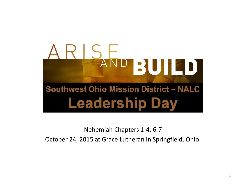

Nehemiah Chapters 1-4; 6-7

October 24, 2015 at Grace Lutheran in Springfield, Ohio.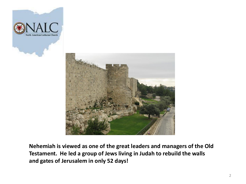



**Nehemiah is viewed as one of the great leaders and managers of the Old Testament. He led a group of Jews living in Judah to rebuild the walls and gates of Jerusalem in only 52 days!**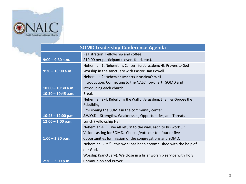

| <b>SOMD Leadership Conference Agenda</b> |                                                                    |
|------------------------------------------|--------------------------------------------------------------------|
|                                          | Registration: Fellowship and coffee.                               |
| $9:00 - 9:30$ a.m.                       | \$10.00 per participant (covers food, etc.).                       |
|                                          | Nehemiah 1: Nehemiah's Concern for Jerusalem; His Prayers to God   |
| $9:30 - 10:00$ a.m.                      | Worship in the sanctuary with Pastor Dan Powell.                   |
|                                          | Nehemiah 2: Nehemiah Inspects Jerusalem's Wall                     |
|                                          | Introduction: Connecting to the NALC flowchart. SOMD and           |
| $10:00 - 10:30$ a.m.                     | introducing each church.                                           |
| $10:30 - 10:45$ a.m.                     | <b>Break</b>                                                       |
|                                          | Nehemiah 2-4: Rebuilding the Wall of Jerusalem; Enemies Oppose the |
|                                          | Rebuilding                                                         |
|                                          | Envisioning the SOMD in the community center.                      |
| $10:45 - 12:00$ p.m.                     | S.W.O.T. - Strengths, Weaknesses, Opportunities, and Threats       |
| $12:00 - 1:00$ p.m.                      | Lunch (Fellowship Hall)                                            |
|                                          | Nehemiah 4: " we all return to the wall, each to his work "        |
|                                          | Vision casting for SOMD. Choose/vote our top four or five          |
| $1:00 - 2:30$ p.m.                       | opportunities for mission of the congregations and SOMD.           |
|                                          | Nehemiah 6-7: " this work has been accomplished with the help of   |
|                                          | our God."                                                          |
|                                          | Worship (Sanctuary): We close in a brief worship service with Holy |
| $2:30 - 3:00$ p.m.                       | Communion and Prayer.                                              |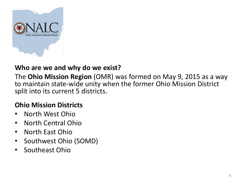

#### **Who are we and why do we exist?**

The **Ohio Mission Region** (OMR) was formed on May 9, 2015 as a way to maintain state-wide unity when the former Ohio Mission District split into its current 5 districts.

#### **Ohio Mission Districts**

- North West Ohio
- North Central Ohio
- North East Ohio
- Southwest Ohio (SOMD)
- Southeast Ohio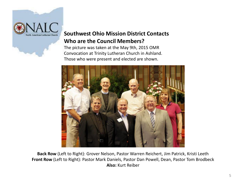

#### **Southwest Ohio Mission District Contacts Who are the Council Members?**

The picture was taken at the May 9th, 2015 OMR Convocation at Trinity Lutheran Church in Ashland. Those who were present and elected are shown.



**Back Row** (Left to Right): Grover Nelson, Pastor Warren Reichert, Jim Patrick, Kristi Leeth **Front Row** (Left to Right): Pastor Mark Daniels, Pastor Dan Powell, Dean, Pastor Tom Brodbeck **Also:** Kurt Reiber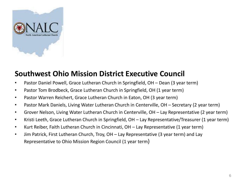

#### **Southwest Ohio Mission District Executive Council**

- Pastor Daniel Powell, Grace Lutheran Church in Springfield, OH Dean (3 year term)
- Pastor Tom Brodbeck, Grace Lutheran Church in Springfield, OH (1 year term)
- Pastor Warren Reichert, Grace Lutheran Church in Eaton, OH (3 year term)
- Pastor Mark Daniels, Living Water Lutheran Church in Centerville, OH Secretary (2 year term)
- Grover Nelson, Living Water Lutheran Church in Centerville, OH Lay Representative (2 year term)
- Kristi Leeth, Grace Lutheran Church in Springfield, OH Lay Representative/Treasurer (1 year term)
- Kurt Reiber, Faith Lutheran Church in Cincinnati, OH Lay Representative (1 year term)
- Jim Patrick, First Lutheran Church, Troy, OH Lay Representative (3 year term) and Lay Representative to Ohio Mission Region Council (1 year term)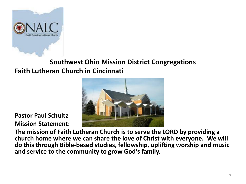

#### **Southwest Ohio Mission District Congregations Faith Lutheran Church in Cincinnati**



**Pastor Paul Schultz Mission Statement:**

**The mission of Faith Lutheran Church is to serve the LORD by providing a church home where we can share the love of Christ with everyone. We will do this through Bible-based studies, fellowship, uplifting worship and music and service to the community to grow God's family.**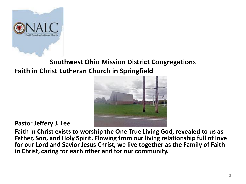

#### **Southwest Ohio Mission District Congregations Faith in Christ Lutheran Church in Springfield**



#### **Pastor Jeffery J. Lee**

**Faith in Christ exists to worship the One True Living God, revealed to us as Father, Son, and Holy Spirit. Flowing from our living relationship full of love for our Lord and Savior Jesus Christ, we live together as the Family of Faith in Christ, caring for each other and for our community.**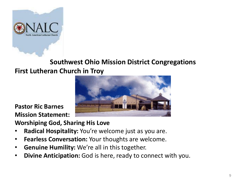

#### **Southwest Ohio Mission District Congregations First Lutheran Church in Troy**



**Pastor Ric Barnes Mission Statement:**

**Worshiping God, Sharing His Love**

- **Radical Hospitality:** You're welcome just as you are.
- **Fearless Conversation:** Your thoughts are welcome.
- **Genuine Humility:** We're all in this together.
- **Divine Anticipation:** God is here, ready to connect with you.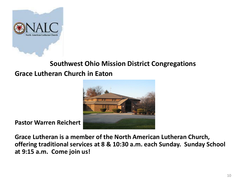

# **Southwest Ohio Mission District Congregations**

**Grace Lutheran Church in Eaton**



**Pastor Warren Reichert**

**Grace Lutheran is a member of the North American Lutheran Church, offering traditional services at 8 & 10:30 a.m. each Sunday. Sunday School at 9:15 a.m. Come join us!**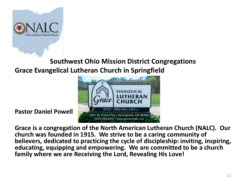

#### **Southwest Ohio Mission District Congregations Grace Evangelical Lutheran Church in Springfield**



**Pastor Daniel Powell**

**Grace is a congregation of the North American Lutheran Church (NALC). Our church was founded in 1915. We strive to be a caring community of believers, dedicated to practicing the cycle of discipleship: inviting, inspiring, educating, equipping and empowering. We are committed to be a church family where we are Receiving the Lord, Revealing His Love!**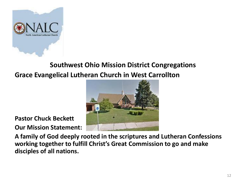

#### **Southwest Ohio Mission District Congregations Grace Evangelical Lutheran Church in West Carrollton**



**Pastor Chuck Beckett Our Mission Statement:** 

**A family of God deeply rooted in the scriptures and Lutheran Confessions working together to fulfill Christ's Great Commission to go and make disciples of all nations.**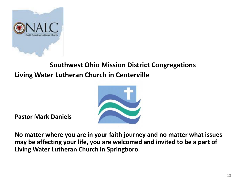

#### **Southwest Ohio Mission District Congregations Living Water Lutheran Church in Centerville**



**Pastor Mark Daniels**

**No matter where you are in your faith journey and no matter what issues may be affecting your life, you are welcomed and invited to be a part of Living Water Lutheran Church in Springboro.**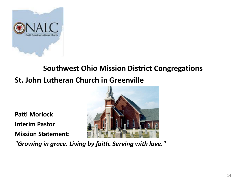

## **Southwest Ohio Mission District Congregations St. John Lutheran Church in Greenville**

**Patti Morlock Interim Pastor Mission Statement:**



*"Growing in grace. Living by faith. Serving with love."*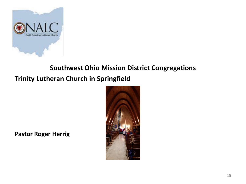

#### **Southwest Ohio Mission District Congregations Trinity Lutheran Church in Springfield**

**Pastor Roger Herrig**

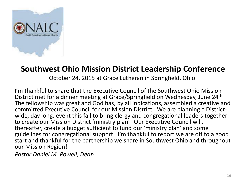

October 24, 2015 at Grace Lutheran in Springfield, Ohio.

I'm thankful to share that the Executive Council of the Southwest Ohio Mission District met for a dinner meeting at Grace/Springfield on Wednesday, June 24<sup>th</sup>. The fellowship was great and God has, by all indications, assembled a creative and committed Executive Council for our Mission District. We are planning a Districtwide, day long, event this fall to bring clergy and congregational leaders together to create our Mission District 'ministry plan'. Our Executive Council will, thereafter, create a budget sufficient to fund our 'ministry plan' and some guidelines for congregational support. I'm thankful to report we are off to a good start and thankful for the partnership we share in Southwest Ohio and throughout our Mission Region!

*Pastor Daniel M. Powell, Dean*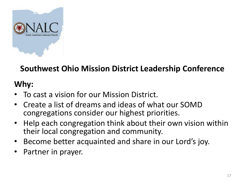

## **Why:**

- To cast a vision for our Mission District.
- Create a list of dreams and ideas of what our SOMD congregations consider our highest priorities.
- Help each congregation think about their own vision within their local congregation and community.
- Become better acquainted and share in our Lord's joy.
- Partner in prayer.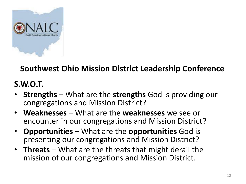

## **S.W.O.T.**

- **Strengths** What are the **strengths** God is providing our congregations and Mission District?
- **Weaknesses** What are the **weaknesses** we see or encounter in our congregations and Mission District?
- **Opportunities** What are the **opportunities** God is presenting our congregations and Mission District?
- **Threats** What are the threats that might derail the mission of our congregations and Mission District.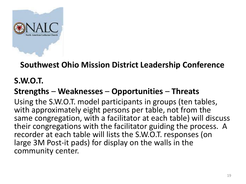

## **S.W.O.T.**

## **Strengths** – **Weaknesses** – **Opportunities** – **Threats**

Using the S.W.O.T. model participants in groups (ten tables, with approximately eight persons per table, not from the same congregation, with a facilitator at each table) will discuss their congregations with the facilitator guiding the process. A recorder at each table will lists the S.W.O.T. responses (on large 3M Post-it pads) for display on the walls in the community center.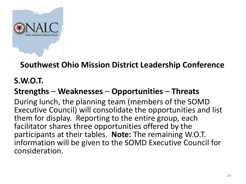

## **S.W.O.T.**

### **Strengths** – **Weaknesses** – **Opportunities** – **Threats**

During lunch, the planning team (members of the SOMD Executive Council) will consolidate the opportunities and list them for display. Reporting to the entire group, each facilitator shares three opportunities offered by the participants at their tables. **Note:** The remaining W.O.T. information will be given to the SOMD Executive Council for consideration.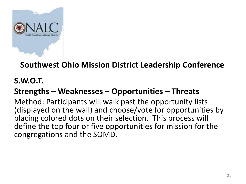

## **S.W.O.T.**

## **Strengths** – **Weaknesses** – **Opportunities** – **Threats**

Method: Participants will walk past the opportunity lists (displayed on the wall) and choose/vote for opportunities by placing colored dots on their selection. This process will define the top four or five opportunities for mission for the congregations and the SOMD.